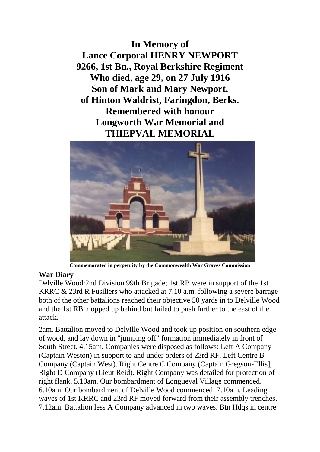**In Memory of Lance Corporal HENRY NEWPORT 9266, 1st Bn., Royal Berkshire Regiment Who died, age 29, on 27 July 1916 Son of Mark and Mary Newport, of Hinton Waldrist, Faringdon, Berks. Remembered with honour Longworth War Memorial and THIEPVAL MEMORIAL**



**Commemorated in perpetuity by the Commonwealth War Graves Commission** 

## **War Diary**

Delville Wood:2nd Division 99th Brigade; 1st RB were in support of the 1st KRRC & 23rd R Fusiliers who attacked at 7.10 a.m. following a severe barrage both of the other battalions reached their objective 50 yards in to Delville Wood and the 1st RB mopped up behind but failed to push further to the east of the attack.

2am. Battalion moved to Delville Wood and took up position on southern edge of wood, and lay down in "jumping off" formation immediately in front of South Street. 4.15am. Companies were disposed as follows: Left A Company (Captain Weston) in support to and under orders of 23rd RF. Left Centre B Company (Captain West). Right Centre C Company (Captain Gregson-Ellis], Right D Company (Lieut Reid). Right Company was detailed for protection of right flank. 5.10am. Our bombardment of Longueval Village commenced. 6.10am. Our bombardment of Delville Wood commenced. 7.10am. Leading waves of 1st KRRC and 23rd RF moved forward from their assembly trenches. 7.12am. Battalion less A Company advanced in two waves. Btn Hdqs in centre